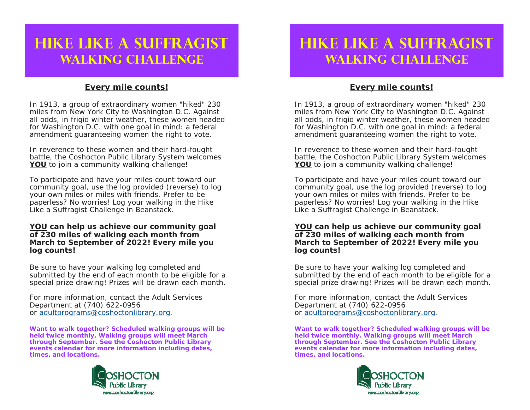## **Hike Like a SuffragistWalking Challenge**

### **Every mile counts!**

In 1913, a group of extraordinary women "*hiked*" 230 miles from New York City to Washington D.C. Against all odds, in frigid winter weather, these women headed for Washington D.C. with one goal in mind: a federal amendment guaranteeing women the right to vote.

In reverence to these women and their hard-fought battle, the Coshocton Public Library System welcomes **YOU** to join a community walking challenge!

To participate and have your miles count toward our community goal, use the log provided (reverse) to log your own miles or miles with friends. Prefer to be paperless? No worries! Log your walking in the *Hike Like a Suffragist Challenge* in Beanstack.

#### **YOU can help us achieve our community goal of 230 miles of walking each month from March to September of 2022! Every mile you log counts!**

Be sure to have your walking log completed and submitted by the end of each month to be eligible for a special prize drawing! Prizes will be drawn each month.

For more information, contact the Adult Services Department at (740) 622-0956 or adultprograms@coshoctonlibrary.org.

*Want to walk together? Scheduled walking groups will be held twice monthly. Walking groups will meet March through September. See the Coshocton Public Library events calendar for more information including dates, times, and locations.* 



## **Hike Like a SuffragistWalking Challenge**

### **Every mile counts!**

In 1913, a group of extraordinary women "*hiked*" 230 miles from New York City to Washington D.C. Against all odds, in frigid winter weather, these women headed for Washington D.C. with one goal in mind: a federal amendment guaranteeing women the right to vote.

In reverence to these women and their hard-fought battle, the Coshocton Public Library System welcomes **YOU** to join a community walking challenge!

To participate and have your miles count toward our community goal, use the log provided (reverse) to log your own miles or miles with friends. Prefer to be paperless? No worries! Log your walking in the *Hike Like a Suffragist Challenge* in Beanstack.

#### **YOU can help us achieve our community goal of 230 miles of walking each month from March to September of 2022! Every mile you log counts!**

Be sure to have your walking log completed and submitted by the end of each month to be eligible for a special prize drawing! Prizes will be drawn each month.

For more information, contact the Adult Services Department at (740) 622-0956 or adultprograms@coshoctonlibrary.org.

*Want to walk together? Scheduled walking groups will be held twice monthly. Walking groups will meet March through September. See the Coshocton Public Library events calendar for more information including dates, times, and locations.*